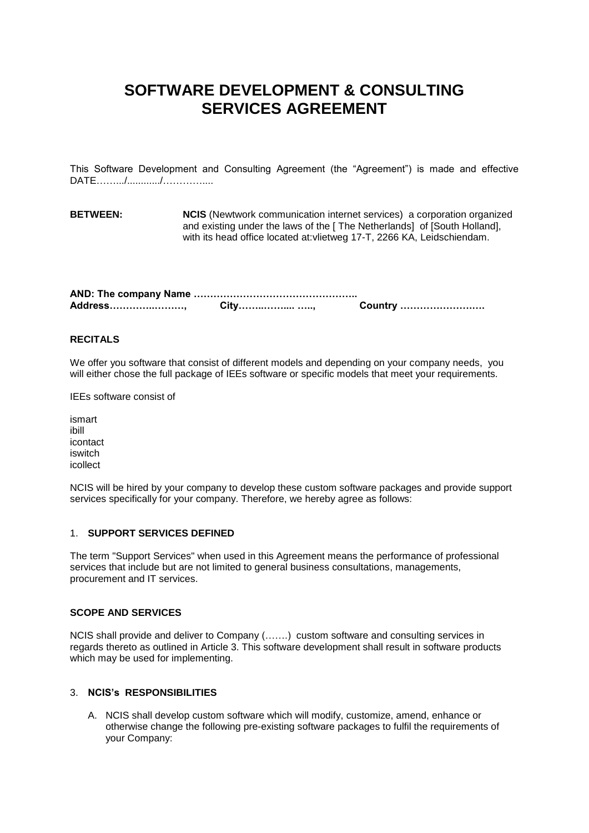# **SOFTWARE DEVELOPMENT & CONSULTING SERVICES AGREEMENT**

This Software Development and Consulting Agreement (the "Agreement") is made and effective DATE………/…………/………………

**BETWEEN: NCIS** (Newtwork communication internet services) a corporation organized and existing under the laws of the [ The Netherlands] of [South Holland], with its head office located at:vlietweg 17-T, 2266 KA, Leidschiendam.

| Address, | City……………… …, | Country |
|----------|---------------|---------|

## **RECITALS**

We offer you software that consist of different models and depending on your company needs, you will either chose the full package of IEEs software or specific models that meet your requirements.

IEEs software consist of

ismart ibill icontact iswitch icollect

NCIS will be hired by your company to develop these custom software packages and provide support services specifically for your company. Therefore, we hereby agree as follows:

#### 1. **SUPPORT SERVICES DEFINED**

The term "Support Services" when used in this Agreement means the performance of professional services that include but are not limited to general business consultations, managements, procurement and IT services.

#### **SCOPE AND SERVICES**

NCIS shall provide and deliver to Company (…….) custom software and consulting services in regards thereto as outlined in Article 3. This software development shall result in software products which may be used for implementing.

### 3. **NCIS's RESPONSIBILITIES**

A. NCIS shall develop custom software which will modify, customize, amend, enhance or otherwise change the following pre-existing software packages to fulfil the requirements of your Company: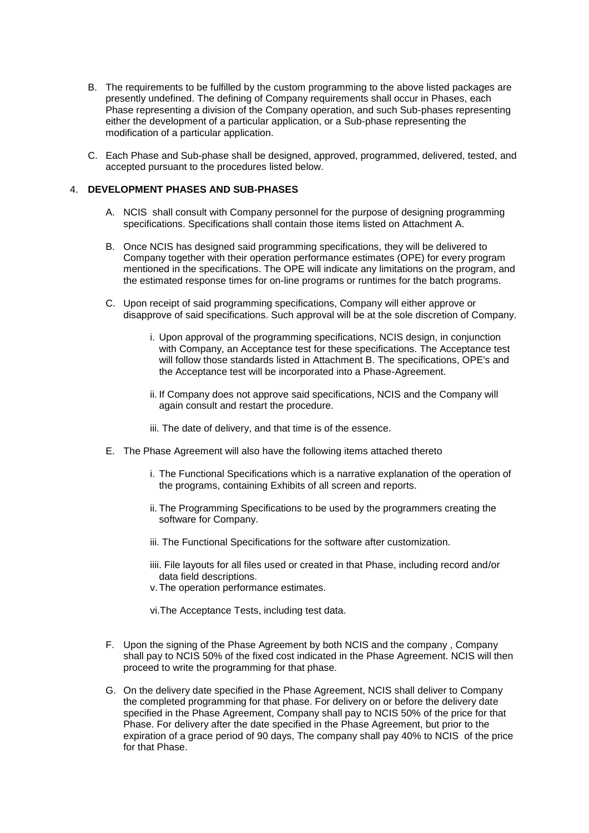- B. The requirements to be fulfilled by the custom programming to the above listed packages are presently undefined. The defining of Company requirements shall occur in Phases, each Phase representing a division of the Company operation, and such Sub-phases representing either the development of a particular application, or a Sub-phase representing the modification of a particular application.
- C. Each Phase and Sub-phase shall be designed, approved, programmed, delivered, tested, and accepted pursuant to the procedures listed below.

## 4. **DEVELOPMENT PHASES AND SUB-PHASES**

- A. NCIS shall consult with Company personnel for the purpose of designing programming specifications. Specifications shall contain those items listed on Attachment A.
- B. Once NCIS has designed said programming specifications, they will be delivered to Company together with their operation performance estimates (OPE) for every program mentioned in the specifications. The OPE will indicate any limitations on the program, and the estimated response times for on-line programs or runtimes for the batch programs.
- C. Upon receipt of said programming specifications, Company will either approve or disapprove of said specifications. Such approval will be at the sole discretion of Company.
	- i. Upon approval of the programming specifications, NCIS design, in conjunction with Company, an Acceptance test for these specifications. The Acceptance test will follow those standards listed in Attachment B. The specifications, OPE's and the Acceptance test will be incorporated into a Phase-Agreement.
	- ii. If Company does not approve said specifications, NCIS and the Company will again consult and restart the procedure.
	- iii. The date of delivery, and that time is of the essence.
- E. The Phase Agreement will also have the following items attached thereto
	- i. The Functional Specifications which is a narrative explanation of the operation of the programs, containing Exhibits of all screen and reports.
	- ii. The Programming Specifications to be used by the programmers creating the software for Company.
	- iii. The Functional Specifications for the software after customization.
	- iiii. File layouts for all files used or created in that Phase, including record and/or data field descriptions.
	- v.The operation performance estimates.

vi.The Acceptance Tests, including test data.

- F. Upon the signing of the Phase Agreement by both NCIS and the company , Company shall pay to NCIS 50% of the fixed cost indicated in the Phase Agreement. NCIS will then proceed to write the programming for that phase.
- G. On the delivery date specified in the Phase Agreement, NCIS shall deliver to Company the completed programming for that phase. For delivery on or before the delivery date specified in the Phase Agreement, Company shall pay to NCIS 50% of the price for that Phase. For delivery after the date specified in the Phase Agreement, but prior to the expiration of a grace period of 90 days, The company shall pay 40% to NCIS of the price for that Phase.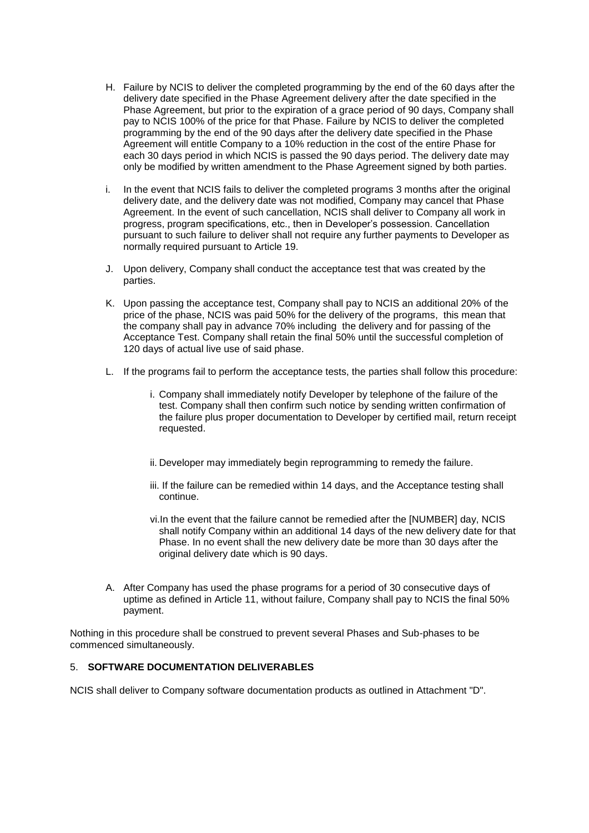- H. Failure by NCIS to deliver the completed programming by the end of the 60 days after the delivery date specified in the Phase Agreement delivery after the date specified in the Phase Agreement, but prior to the expiration of a grace period of 90 days, Company shall pay to NCIS 100% of the price for that Phase. Failure by NCIS to deliver the completed programming by the end of the 90 days after the delivery date specified in the Phase Agreement will entitle Company to a 10% reduction in the cost of the entire Phase for each 30 days period in which NCIS is passed the 90 days period. The delivery date may only be modified by written amendment to the Phase Agreement signed by both parties.
- i. In the event that NCIS fails to deliver the completed programs 3 months after the original delivery date, and the delivery date was not modified, Company may cancel that Phase Agreement. In the event of such cancellation, NCIS shall deliver to Company all work in progress, program specifications, etc., then in Developer's possession. Cancellation pursuant to such failure to deliver shall not require any further payments to Developer as normally required pursuant to Article 19.
- J. Upon delivery, Company shall conduct the acceptance test that was created by the parties.
- K. Upon passing the acceptance test, Company shall pay to NCIS an additional 20% of the price of the phase, NCIS was paid 50% for the delivery of the programs, this mean that the company shall pay in advance 70% including the delivery and for passing of the Acceptance Test. Company shall retain the final 50% until the successful completion of 120 days of actual live use of said phase.
- L. If the programs fail to perform the acceptance tests, the parties shall follow this procedure:
	- i. Company shall immediately notify Developer by telephone of the failure of the test. Company shall then confirm such notice by sending written confirmation of the failure plus proper documentation to Developer by certified mail, return receipt requested.
	- ii. Developer may immediately begin reprogramming to remedy the failure.
	- iii. If the failure can be remedied within 14 days, and the Acceptance testing shall continue.
	- vi.In the event that the failure cannot be remedied after the [NUMBER] day, NCIS shall notify Company within an additional 14 days of the new delivery date for that Phase. In no event shall the new delivery date be more than 30 days after the original delivery date which is 90 days.
- A. After Company has used the phase programs for a period of 30 consecutive days of uptime as defined in Article 11, without failure, Company shall pay to NCIS the final 50% payment.

Nothing in this procedure shall be construed to prevent several Phases and Sub-phases to be commenced simultaneously.

### 5. **SOFTWARE DOCUMENTATION DELIVERABLES**

NCIS shall deliver to Company software documentation products as outlined in Attachment "D".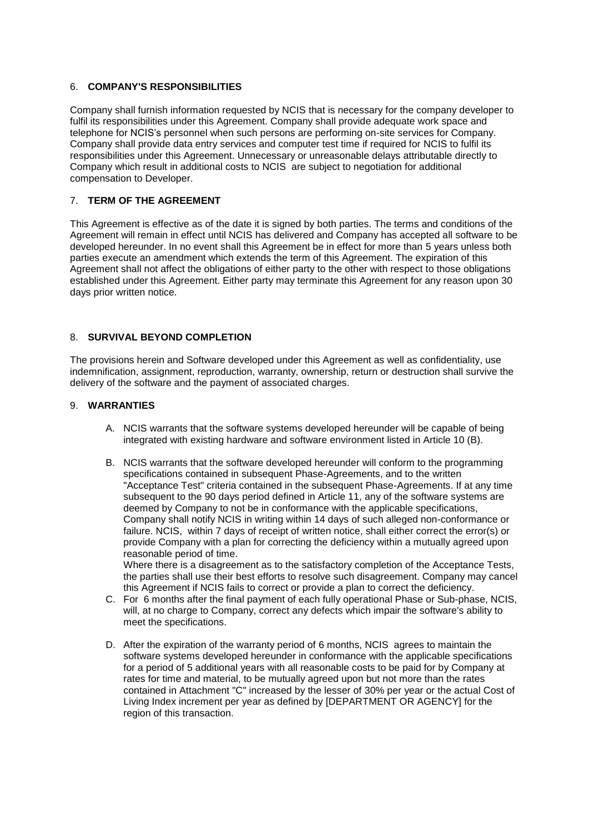## 6. **COMPANY'S RESPONSIBILITIES**

Company shall furnish information requested by NCIS that is necessary for the company developer to fulfil its responsibilities under this Agreement. Company shall provide adequate work space and telephone for NCIS's personnel when such persons are performing on-site services for Company. Company shall provide data entry services and computer test time if required for NCIS to fulfil its responsibilities under this Agreement. Unnecessary or unreasonable delays attributable directly to Company which result in additional costs to NCIS are subject to negotiation for additional compensation to Developer.

## 7. **TERM OF THE AGREEMENT**

This Agreement is effective as of the date it is signed by both parties. The terms and conditions of the Agreement will remain in effect until NCIS has delivered and Company has accepted all software to be developed hereunder. In no event shall this Agreement be in effect for more than 5 years unless both parties execute an amendment which extends the term of this Agreement. The expiration of this Agreement shall not affect the obligations of either party to the other with respect to those obligations established under this Agreement. Either party may terminate this Agreement for any reason upon 30 days prior written notice.

## 8. **SURVIVAL BEYOND COMPLETION**

The provisions herein and Software developed under this Agreement as well as confidentiality, use indemnification, assignment, reproduction, warranty, ownership, return or destruction shall survive the delivery of the software and the payment of associated charges.

## 9. **WARRANTIES**

- A. NCIS warrants that the software systems developed hereunder will be capable of being integrated with existing hardware and software environment listed in Article 10 (B).
- B. NCIS warrants that the software developed hereunder will conform to the programming specifications contained in subsequent Phase-Agreements, and to the written "Acceptance Test" criteria contained in the subsequent Phase-Agreements. If at any time subsequent to the 90 days period defined in Article 11, any of the software systems are deemed by Company to not be in conformance with the applicable specifications, Company shall notify NCIS in writing within 14 days of such alleged non-conformance or failure. NCIS, within 7 days of receipt of written notice, shall either correct the error(s) or provide Company with a plan for correcting the deficiency within a mutually agreed upon reasonable period of time.

Where there is a disagreement as to the satisfactory completion of the Acceptance Tests, the parties shall use their best efforts to resolve such disagreement. Company may cancel this Agreement if NCIS fails to correct or provide a plan to correct the deficiency.

- C. For 6 months after the final payment of each fully operational Phase or Sub-phase, NCIS, will, at no charge to Company, correct any defects which impair the software's ability to meet the specifications.
- D. After the expiration of the warranty period of 6 months, NCIS agrees to maintain the software systems developed hereunder in conformance with the applicable specifications for a period of 5 additional years with all reasonable costs to be paid for by Company at rates for time and material, to be mutually agreed upon but not more than the rates contained in Attachment "C" increased by the lesser of 30% per year or the actual Cost of Living Index increment per year as defined by [DEPARTMENT OR AGENCY] for the region of this transaction.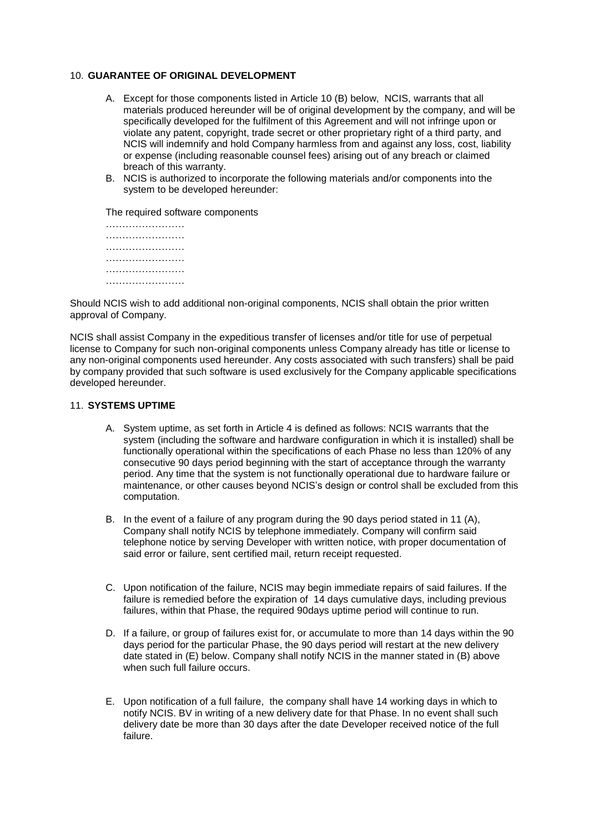#### 10. **GUARANTEE OF ORIGINAL DEVELOPMENT**

- A. Except for those components listed in Article 10 (B) below, NCIS, warrants that all materials produced hereunder will be of original development by the company, and will be specifically developed for the fulfilment of this Agreement and will not infringe upon or violate any patent, copyright, trade secret or other proprietary right of a third party, and NCIS will indemnify and hold Company harmless from and against any loss, cost, liability or expense (including reasonable counsel fees) arising out of any breach or claimed breach of this warranty.
- B. NCIS is authorized to incorporate the following materials and/or components into the system to be developed hereunder:

The required software components

Should NCIS wish to add additional non-original components, NCIS shall obtain the prior written approval of Company.

NCIS shall assist Company in the expeditious transfer of licenses and/or title for use of perpetual license to Company for such non-original components unless Company already has title or license to any non-original components used hereunder. Any costs associated with such transfers) shall be paid by company provided that such software is used exclusively for the Company applicable specifications developed hereunder.

## 11. **SYSTEMS UPTIME**

- A. System uptime, as set forth in Article 4 is defined as follows: NCIS warrants that the system (including the software and hardware configuration in which it is installed) shall be functionally operational within the specifications of each Phase no less than 120% of any consecutive 90 days period beginning with the start of acceptance through the warranty period. Any time that the system is not functionally operational due to hardware failure or maintenance, or other causes beyond NCIS's design or control shall be excluded from this computation.
- B. In the event of a failure of any program during the 90 days period stated in 11 (A), Company shall notify NCIS by telephone immediately. Company will confirm said telephone notice by serving Developer with written notice, with proper documentation of said error or failure, sent certified mail, return receipt requested.
- C. Upon notification of the failure, NCIS may begin immediate repairs of said failures. If the failure is remedied before the expiration of 14 days cumulative days, including previous failures, within that Phase, the required 90days uptime period will continue to run.
- D. If a failure, or group of failures exist for, or accumulate to more than 14 days within the 90 days period for the particular Phase, the 90 days period will restart at the new delivery date stated in (E) below. Company shall notify NCIS in the manner stated in (B) above when such full failure occurs.
- E. Upon notification of a full failure, the company shall have 14 working days in which to notify NCIS. BV in writing of a new delivery date for that Phase. In no event shall such delivery date be more than 30 days after the date Developer received notice of the full failure.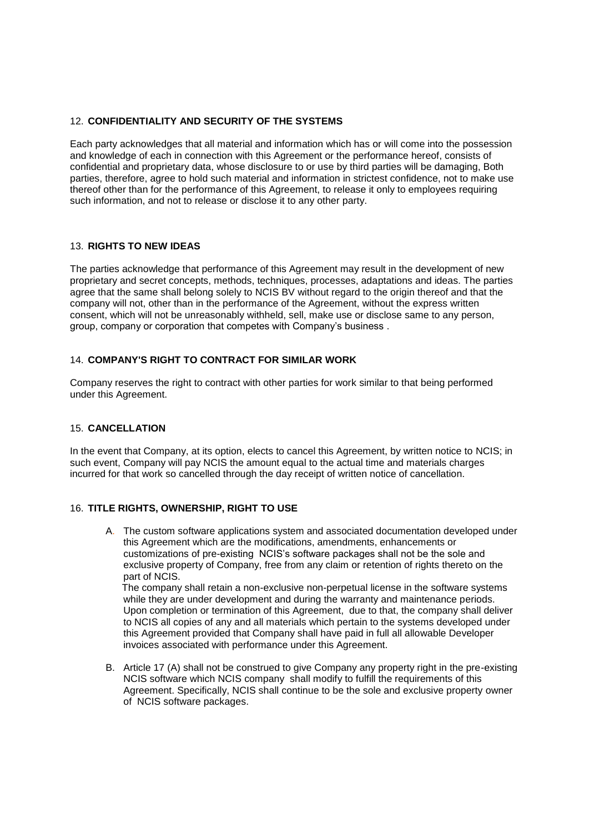## 12. **CONFIDENTIALITY AND SECURITY OF THE SYSTEMS**

Each party acknowledges that all material and information which has or will come into the possession and knowledge of each in connection with this Agreement or the performance hereof, consists of confidential and proprietary data, whose disclosure to or use by third parties will be damaging, Both parties, therefore, agree to hold such material and information in strictest confidence, not to make use thereof other than for the performance of this Agreement, to release it only to employees requiring such information, and not to release or disclose it to any other party.

### 13. **RIGHTS TO NEW IDEAS**

The parties acknowledge that performance of this Agreement may result in the development of new proprietary and secret concepts, methods, techniques, processes, adaptations and ideas. The parties agree that the same shall belong solely to NCIS BV without regard to the origin thereof and that the company will not, other than in the performance of the Agreement, without the express written consent, which will not be unreasonably withheld, sell, make use or disclose same to any person, group, company or corporation that competes with Company's business .

#### 14. **COMPANY'S RIGHT TO CONTRACT FOR SIMILAR WORK**

Company reserves the right to contract with other parties for work similar to that being performed under this Agreement.

#### 15. **CANCELLATION**

In the event that Company, at its option, elects to cancel this Agreement, by written notice to NCIS; in such event, Company will pay NCIS the amount equal to the actual time and materials charges incurred for that work so cancelled through the day receipt of written notice of cancellation.

## 16. **TITLE RIGHTS, OWNERSHIP, RIGHT TO USE**

A. The custom software applications system and associated documentation developed under this Agreement which are the modifications, amendments, enhancements or customizations of pre-existing NCIS's software packages shall not be the sole and exclusive property of Company, free from any claim or retention of rights thereto on the part of NCIS.

 The company shall retain a non-exclusive non-perpetual license in the software systems while they are under development and during the warranty and maintenance periods. Upon completion or termination of this Agreement, due to that, the company shall deliver to NCIS all copies of any and all materials which pertain to the systems developed under this Agreement provided that Company shall have paid in full all allowable Developer invoices associated with performance under this Agreement.

B. Article 17 (A) shall not be construed to give Company any property right in the pre-existing NCIS software which NCIS company shall modify to fulfill the requirements of this Agreement. Specifically, NCIS shall continue to be the sole and exclusive property owner of NCIS software packages.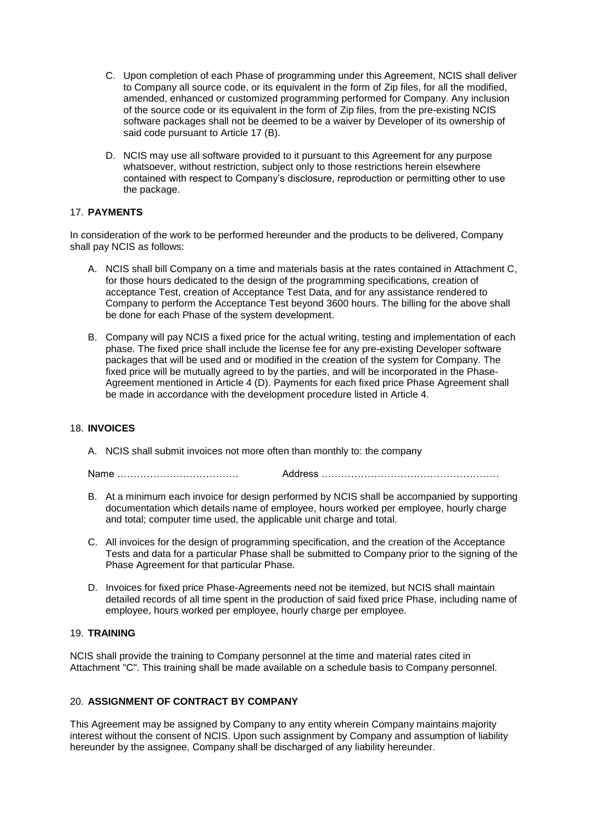- C. Upon completion of each Phase of programming under this Agreement, NCIS shall deliver to Company all source code, or its equivalent in the form of Zip files, for all the modified, amended, enhanced or customized programming performed for Company. Any inclusion of the source code or its equivalent in the form of Zip files, from the pre-existing NCIS software packages shall not be deemed to be a waiver by Developer of its ownership of said code pursuant to Article 17 (B).
- D. NCIS may use all software provided to it pursuant to this Agreement for any purpose whatsoever, without restriction, subject only to those restrictions herein elsewhere contained with respect to Company's disclosure, reproduction or permitting other to use the package.

## 17. **PAYMENTS**

In consideration of the work to be performed hereunder and the products to be delivered, Company shall pay NCIS as follows:

- A. NCIS shall bill Company on a time and materials basis at the rates contained in Attachment C, for those hours dedicated to the design of the programming specifications, creation of acceptance Test, creation of Acceptance Test Data, and for any assistance rendered to Company to perform the Acceptance Test beyond 3600 hours. The billing for the above shall be done for each Phase of the system development.
- B. Company will pay NCIS a fixed price for the actual writing, testing and implementation of each phase. The fixed price shall include the license fee for any pre-existing Developer software packages that will be used and or modified in the creation of the system for Company. The fixed price will be mutually agreed to by the parties, and will be incorporated in the Phase-Agreement mentioned in Article 4 (D). Payments for each fixed price Phase Agreement shall be made in accordance with the development procedure listed in Article 4.

## 18. **INVOICES**

A. NCIS shall submit invoices not more often than monthly to: the company

Name ………………………………. Address ………………………………………………

- B. At a minimum each invoice for design performed by NCIS shall be accompanied by supporting documentation which details name of employee, hours worked per employee, hourly charge and total; computer time used, the applicable unit charge and total.
- C. All invoices for the design of programming specification, and the creation of the Acceptance Tests and data for a particular Phase shall be submitted to Company prior to the signing of the Phase Agreement for that particular Phase.
- D. Invoices for fixed price Phase-Agreements need not be itemized, but NCIS shall maintain detailed records of all time spent in the production of said fixed price Phase, including name of employee, hours worked per employee, hourly charge per employee.

## 19. **TRAINING**

NCIS shall provide the training to Company personnel at the time and material rates cited in Attachment "C". This training shall be made available on a schedule basis to Company personnel.

## 20. **ASSIGNMENT OF CONTRACT BY COMPANY**

This Agreement may be assigned by Company to any entity wherein Company maintains majority interest without the consent of NCIS. Upon such assignment by Company and assumption of liability hereunder by the assignee, Company shall be discharged of any liability hereunder.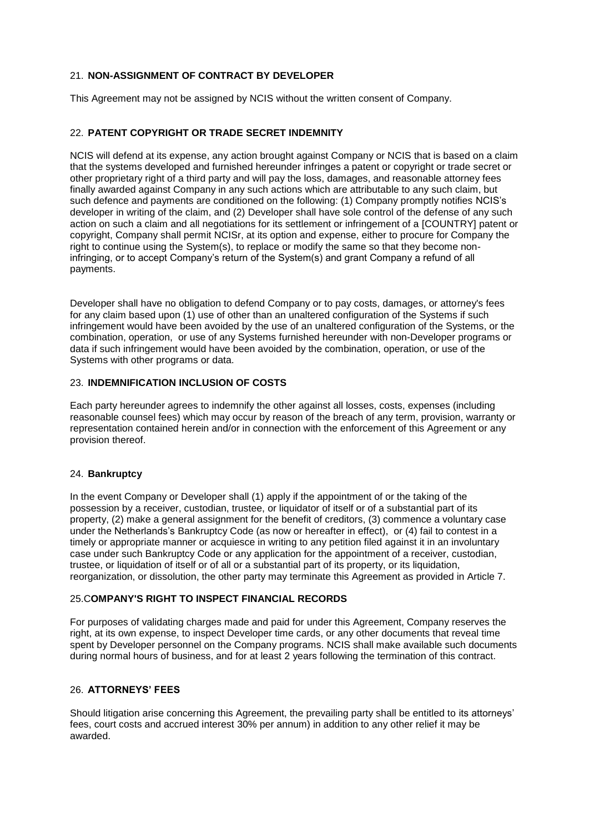## 21. **NON-ASSIGNMENT OF CONTRACT BY DEVELOPER**

This Agreement may not be assigned by NCIS without the written consent of Company.

## 22. **PATENT COPYRIGHT OR TRADE SECRET INDEMNITY**

NCIS will defend at its expense, any action brought against Company or NCIS that is based on a claim that the systems developed and furnished hereunder infringes a patent or copyright or trade secret or other proprietary right of a third party and will pay the loss, damages, and reasonable attorney fees finally awarded against Company in any such actions which are attributable to any such claim, but such defence and payments are conditioned on the following: (1) Company promptly notifies NCIS's developer in writing of the claim, and (2) Developer shall have sole control of the defense of any such action on such a claim and all negotiations for its settlement or infringement of a [COUNTRY] patent or copyright, Company shall permit NCISr, at its option and expense, either to procure for Company the right to continue using the System(s), to replace or modify the same so that they become noninfringing, or to accept Company's return of the System(s) and grant Company a refund of all payments.

Developer shall have no obligation to defend Company or to pay costs, damages, or attorney's fees for any claim based upon (1) use of other than an unaltered configuration of the Systems if such infringement would have been avoided by the use of an unaltered configuration of the Systems, or the combination, operation, or use of any Systems furnished hereunder with non-Developer programs or data if such infringement would have been avoided by the combination, operation, or use of the Systems with other programs or data.

#### 23. **INDEMNIFICATION INCLUSION OF COSTS**

Each party hereunder agrees to indemnify the other against all losses, costs, expenses (including reasonable counsel fees) which may occur by reason of the breach of any term, provision, warranty or representation contained herein and/or in connection with the enforcement of this Agreement or any provision thereof.

#### 24. **Bankruptcy**

In the event Company or Developer shall (1) apply if the appointment of or the taking of the possession by a receiver, custodian, trustee, or liquidator of itself or of a substantial part of its property, (2) make a general assignment for the benefit of creditors, (3) commence a voluntary case under the Netherlands's Bankruptcy Code (as now or hereafter in effect), or (4) fail to contest in a timely or appropriate manner or acquiesce in writing to any petition filed against it in an involuntary case under such Bankruptcy Code or any application for the appointment of a receiver, custodian, trustee, or liquidation of itself or of all or a substantial part of its property, or its liquidation, reorganization, or dissolution, the other party may terminate this Agreement as provided in Article 7.

## 25.C**OMPANY'S RIGHT TO INSPECT FINANCIAL RECORDS**

For purposes of validating charges made and paid for under this Agreement, Company reserves the right, at its own expense, to inspect Developer time cards, or any other documents that reveal time spent by Developer personnel on the Company programs. NCIS shall make available such documents during normal hours of business, and for at least 2 years following the termination of this contract.

#### 26. **ATTORNEYS' FEES**

Should litigation arise concerning this Agreement, the prevailing party shall be entitled to its attorneys' fees, court costs and accrued interest 30% per annum) in addition to any other relief it may be awarded.